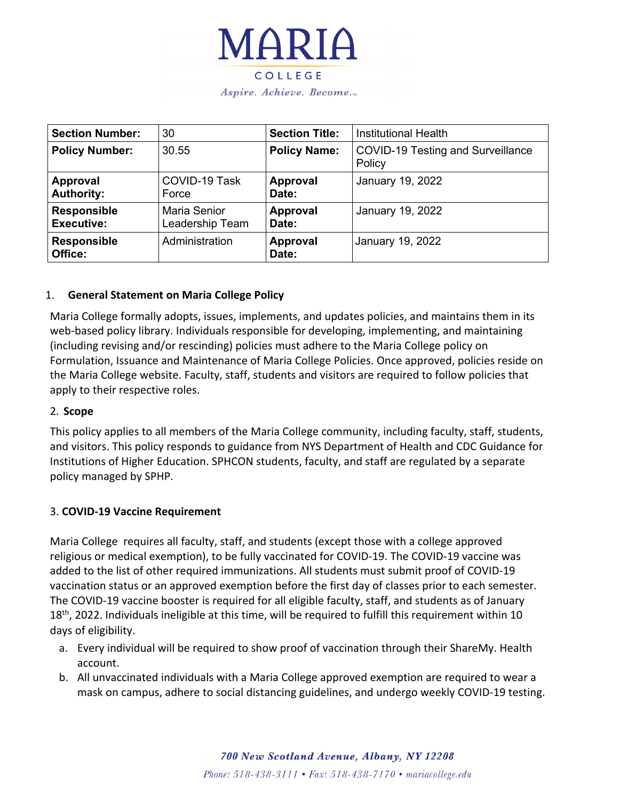

Aspire. Achieve. Become...

| <b>Section Number:</b>                  | 30                                     | <b>Section Title:</b>    | <b>Institutional Health</b>                 |
|-----------------------------------------|----------------------------------------|--------------------------|---------------------------------------------|
| <b>Policy Number:</b>                   | 30.55                                  | <b>Policy Name:</b>      | COVID-19 Testing and Surveillance<br>Policy |
| <b>Approval</b><br><b>Authority:</b>    | COVID-19 Task<br>Force                 | Approval<br>Date:        | January 19, 2022                            |
| <b>Responsible</b><br><b>Executive:</b> | <b>Maria Senior</b><br>Leadership Team | <b>Approval</b><br>Date: | January 19, 2022                            |
| <b>Responsible</b><br>Office:           | Administration                         | <b>Approval</b><br>Date: | January 19, 2022                            |

### 1. **General Statement on Maria College Policy**

Maria College formally adopts, issues, implements, and updates policies, and maintains them in its web-based policy library. Individuals responsible for developing, implementing, and maintaining (including revising and/or rescinding) policies must adhere to the Maria College policy on Formulation, Issuance and Maintenance of Maria College Policies. Once approved, policies reside on the Maria College website. Faculty, staff, students and visitors are required to follow policies that apply to their respective roles.

### 2. **Scope**

This policy applies to all members of the Maria College community, including faculty, staff, students, and visitors. This policy responds to guidance from NYS Department of Health and CDC Guidance for Institutions of Higher Education. SPHCON students, faculty, and staff are regulated by a separate policy managed by SPHP.

### 3. **COVID-19 Vaccine Requirement**

Maria College requires all faculty, staff, and students (except those with a college approved religious or medical exemption), to be fully vaccinated for COVID-19. The COVID-19 vaccine was added to the list of other required immunizations. All students must submit proof of COVID-19 vaccination status or an approved exemption before the first day of classes prior to each semester. The COVID-19 vaccine booster is required for all eligible faculty, staff, and students as of January  $18<sup>th</sup>$ , 2022. Individuals ineligible at this time, will be required to fulfill this requirement within 10 days of eligibility.

- a. Every individual will be required to show proof of vaccination through their ShareMy. Health account.
- b. All unvaccinated individuals with a Maria College approved exemption are required to wear a mask on campus, adhere to social distancing guidelines, and undergo weekly COVID-19 testing.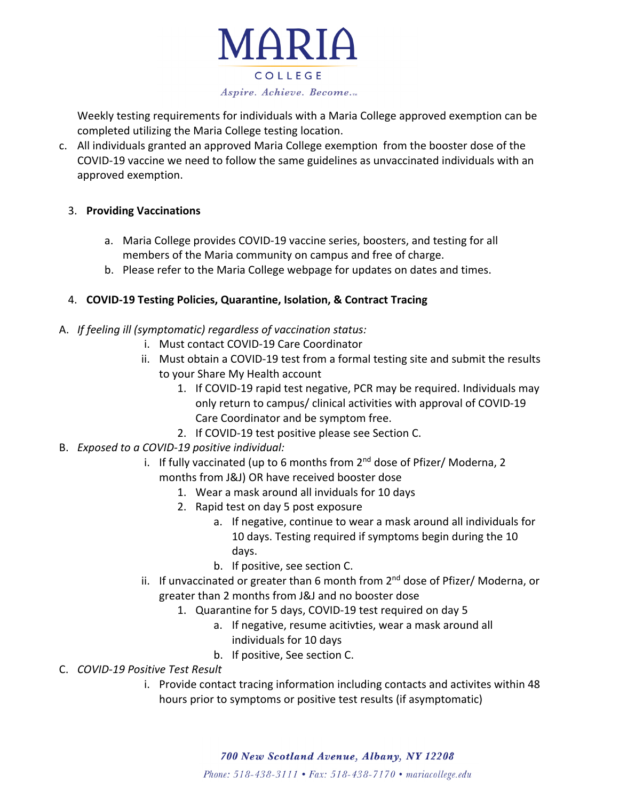

Weekly testing requirements for individuals with a Maria College approved exemption can be completed utilizing the Maria College testing location.

- c. All individuals granted an approved Maria College exemption from the booster dose of the COVID-19 vaccine we need to follow the same guidelines as unvaccinated individuals with an approved exemption.
	- 3. **Providing Vaccinations**
		- a. Maria College provides COVID-19 vaccine series, boosters, and testing for all members of the Maria community on campus and free of charge.
		- b. Please refer to the Maria College webpage for updates on dates and times.

# 4. **COVID-19 Testing Policies, Quarantine, Isolation, & Contract Tracing**

- A. *If feeling ill (symptomatic) regardless of vaccination status:*
	- i. Must contact COVID-19 Care Coordinator
	- ii. Must obtain a COVID-19 test from a formal testing site and submit the results to your Share My Health account
		- 1. If COVID-19 rapid test negative, PCR may be required. Individuals may only return to campus/ clinical activities with approval of COVID-19 Care Coordinator and be symptom free.
		- 2. If COVID-19 test positive please see Section C.
- B. *Exposed to a COVID-19 positive individual:*
	- i. If fully vaccinated (up to 6 months from  $2<sup>nd</sup>$  dose of Pfizer/ Moderna, 2 months from J&J) OR have received booster dose
		- 1. Wear a mask around all inviduals for 10 days
		- 2. Rapid test on day 5 post exposure
			- a. If negative, continue to wear a mask around all individuals for 10 days. Testing required if symptoms begin during the 10 days.
			- b. If positive, see section C.
	- ii. If unvaccinated or greater than 6 month from  $2^{nd}$  dose of Pfizer/ Moderna, or greater than 2 months from J&J and no booster dose
		- 1. Quarantine for 5 days, COVID-19 test required on day 5
			- a. If negative, resume acitivties, wear a mask around all individuals for 10 days
			- b. If positive, See section C.

# C. *COVID-19 Positive Test Result*

i. Provide contact tracing information including contacts and activites within 48 hours prior to symptoms or positive test results (if asymptomatic)

700 New Scotland Avenue, Albany, NY 12208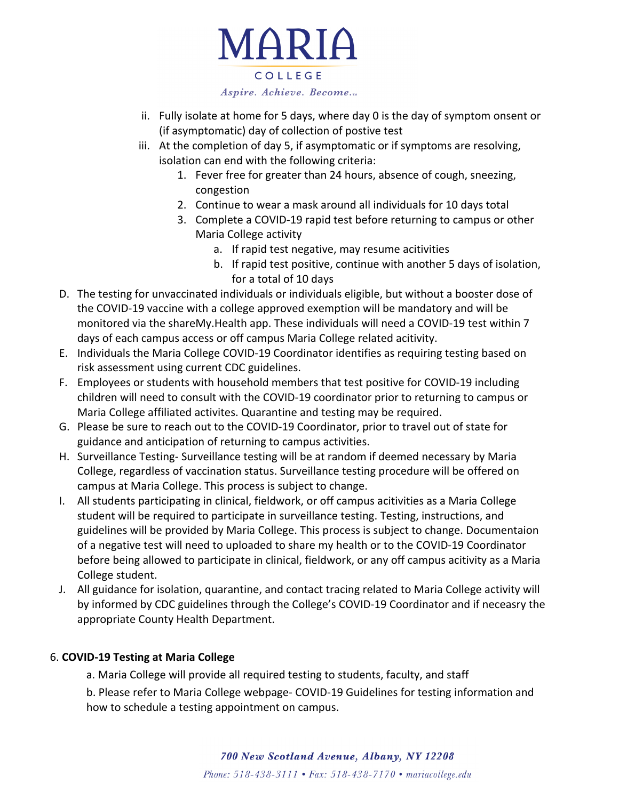

Aspire. Achieve. Become...

- ii. Fully isolate at home for 5 days, where day 0 is the day of symptom onsent or (if asymptomatic) day of collection of postive test
- iii. At the completion of day 5, if asymptomatic or if symptoms are resolving, isolation can end with the following criteria:
	- 1. Fever free for greater than 24 hours, absence of cough, sneezing, congestion
	- 2. Continue to wear a mask around all individuals for 10 days total
	- 3. Complete a COVID-19 rapid test before returning to campus or other Maria College activity
		- a. If rapid test negative, may resume acitivities
		- b. If rapid test positive, continue with another 5 days of isolation, for a total of 10 days
- D. The testing for unvaccinated individuals or individuals eligible, but without a booster dose of the COVID-19 vaccine with a college approved exemption will be mandatory and will be monitored via the shareMy.Health app. These individuals will need a COVID-19 test within 7 days of each campus access or off campus Maria College related acitivity.
- E. Individuals the Maria College COVID-19 Coordinator identifies as requiring testing based on risk assessment using current CDC guidelines.
- F. Employees or students with household members that test positive for COVID-19 including children will need to consult with the COVID-19 coordinator prior to returning to campus or Maria College affiliated activites. Quarantine and testing may be required.
- G. Please be sure to reach out to the COVID-19 Coordinator, prior to travel out of state for guidance and anticipation of returning to campus activities.
- H. Surveillance Testing- Surveillance testing will be at random if deemed necessary by Maria College, regardless of vaccination status. Surveillance testing procedure will be offered on campus at Maria College. This process is subject to change.
- I. All students participating in clinical, fieldwork, or off campus acitivities as a Maria College student will be required to participate in surveillance testing. Testing, instructions, and guidelines will be provided by Maria College. This process is subject to change. Documentaion of a negative test will need to uploaded to share my health or to the COVID-19 Coordinator before being allowed to participate in clinical, fieldwork, or any off campus acitivity as a Maria College student.
- J. All guidance for isolation, quarantine, and contact tracing related to Maria College activity will by informed by CDC guidelines through the College's COVID-19 Coordinator and if neceasry the appropriate County Health Department.

# 6. **COVID-19 Testing at Maria College**

- a. Maria College will provide all required testing to students, faculty, and staff
- b. Please refer to Maria College webpage- COVID-19 Guidelines for testing information and how to schedule a testing appointment on campus.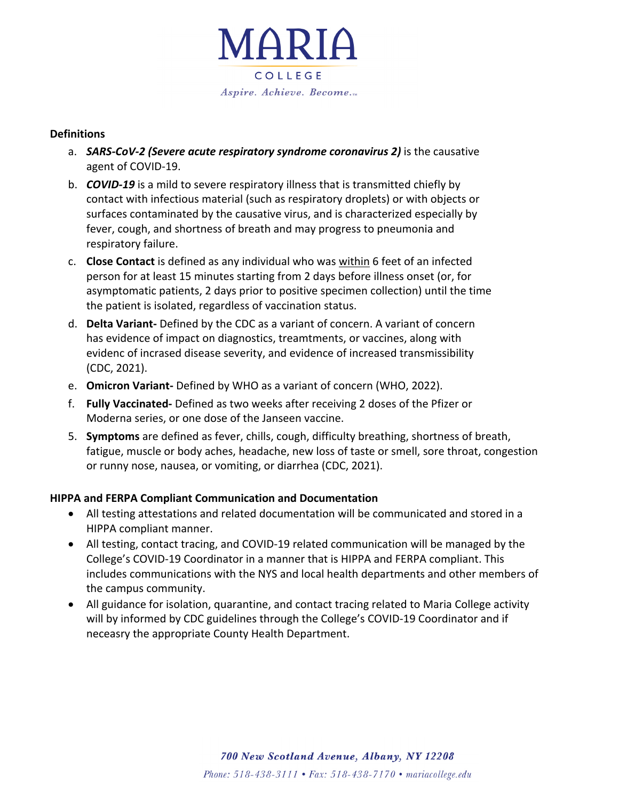

### **Definitions**

- a. *SARS-CoV-2 (Severe acute respiratory syndrome coronavirus 2)* is the causative agent of COVID-19.
- b. *COVID-19* is a mild to severe respiratory illness that is transmitted chiefly by contact with infectious material (such as respiratory droplets) or with objects or surfaces contaminated by the causative virus, and is characterized especially by fever, cough, and shortness of breath and may progress to pneumonia and respiratory failure.
- c. **Close Contact** is defined as any individual who was within 6 feet of an infected person for at least 15 minutes starting from 2 days before illness onset (or, for asymptomatic patients, 2 days prior to positive specimen collection) until the time the patient is isolated, regardless of vaccination status.
- d. **Delta Variant-** Defined by the CDC as a variant of concern. A variant of concern has evidence of impact on diagnostics, treamtments, or vaccines, along with evidenc of incrased disease severity, and evidence of increased transmissibility (CDC, 2021).
- e. **Omicron Variant-** Defined by WHO as a variant of concern (WHO, 2022).
- f. **Fully Vaccinated-** Defined as two weeks after receiving 2 doses of the Pfizer or Moderna series, or one dose of the Janseen vaccine.
- 5. **Symptoms** are defined as fever, chills, cough, difficulty breathing, shortness of breath, fatigue, muscle or body aches, headache, new loss of taste or smell, sore throat, congestion or runny nose, nausea, or vomiting, or diarrhea (CDC, 2021).

# **HIPPA and FERPA Compliant Communication and Documentation**

- All testing attestations and related documentation will be communicated and stored in a HIPPA compliant manner.
- All testing, contact tracing, and COVID-19 related communication will be managed by the College's COVID-19 Coordinator in a manner that is HIPPA and FERPA compliant. This includes communications with the NYS and local health departments and other members of the campus community.
- All guidance for isolation, quarantine, and contact tracing related to Maria College activity will by informed by CDC guidelines through the College's COVID-19 Coordinator and if neceasry the appropriate County Health Department.